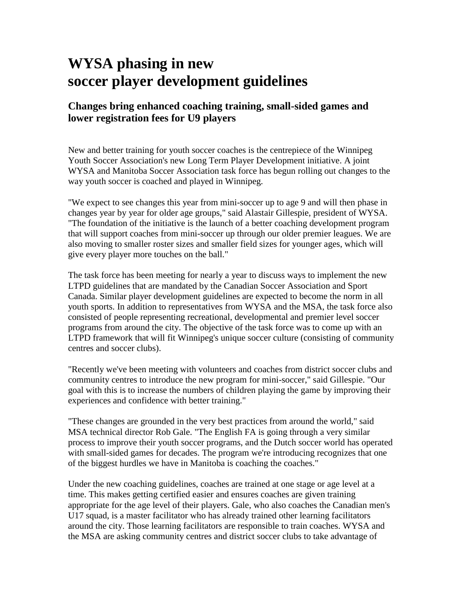## **WYSA phasing in new soccer player development guidelines**

## **Changes bring enhanced coaching training, small-sided games and lower registration fees for U9 players**

New and better training for youth soccer coaches is the centrepiece of the Winnipeg Youth Soccer Association's new Long Term Player Development initiative. A joint WYSA and Manitoba Soccer Association task force has begun rolling out changes to the way youth soccer is coached and played in Winnipeg.

"We expect to see changes this year from mini-soccer up to age 9 and will then phase in changes year by year for older age groups," said Alastair Gillespie, president of WYSA. "The foundation of the initiative is the launch of a better coaching development program that will support coaches from mini-soccer up through our older premier leagues. We are also moving to smaller roster sizes and smaller field sizes for younger ages, which will give every player more touches on the ball."

The task force has been meeting for nearly a year to discuss ways to implement the new LTPD guidelines that are mandated by the Canadian Soccer Association and Sport Canada. Similar player development guidelines are expected to become the norm in all youth sports. In addition to representatives from WYSA and the MSA, the task force also consisted of people representing recreational, developmental and premier level soccer programs from around the city. The objective of the task force was to come up with an LTPD framework that will fit Winnipeg's unique soccer culture (consisting of community centres and soccer clubs).

"Recently we've been meeting with volunteers and coaches from district soccer clubs and community centres to introduce the new program for mini-soccer," said Gillespie. "Our goal with this is to increase the numbers of children playing the game by improving their experiences and confidence with better training."

"These changes are grounded in the very best practices from around the world," said MSA technical director Rob Gale. "The English FA is going through a very similar process to improve their youth soccer programs, and the Dutch soccer world has operated with small-sided games for decades. The program we're introducing recognizes that one of the biggest hurdles we have in Manitoba is coaching the coaches."

Under the new coaching guidelines, coaches are trained at one stage or age level at a time. This makes getting certified easier and ensures coaches are given training appropriate for the age level of their players. Gale, who also coaches the Canadian men's U17 squad, is a master facilitator who has already trained other learning facilitators around the city. Those learning facilitators are responsible to train coaches. WYSA and the MSA are asking community centres and district soccer clubs to take advantage of